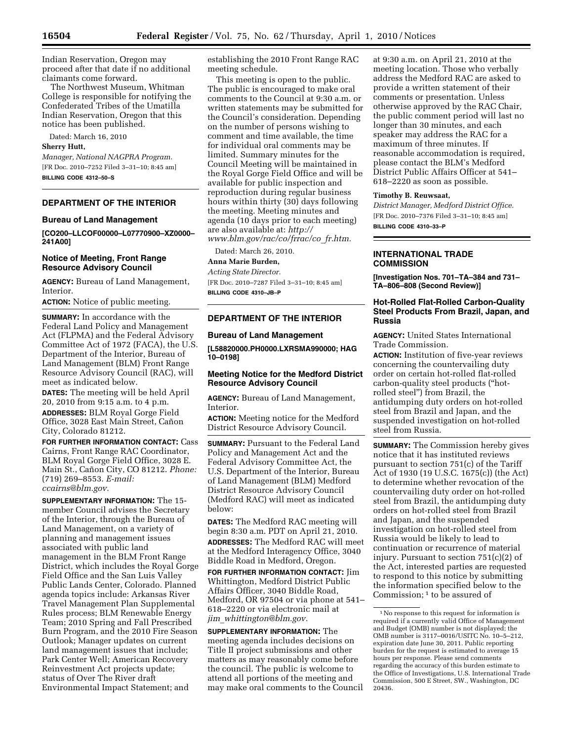Indian Reservation, Oregon may proceed after that date if no additional claimants come forward.

The Northwest Museum, Whitman College is responsible for notifying the Confederated Tribes of the Umatilla Indian Reservation, Oregon that this notice has been published.

Dated: March 16, 2010

#### **Sherry Hutt,**

*Manager, National NAGPRA Program.*  [FR Doc. 2010–7252 Filed 3–31–10; 8:45 am] **BILLING CODE 4312–50–S** 

**DEPARTMENT OF THE INTERIOR** 

# **Bureau of Land Management**

**[CO200–LLCOF00000–L07770900–XZ0000– 241A00]** 

### **Notice of Meeting, Front Range Resource Advisory Council**

**AGENCY:** Bureau of Land Management, **Interior** 

**ACTION:** Notice of public meeting.

**SUMMARY:** In accordance with the Federal Land Policy and Management Act (FLPMA) and the Federal Advisory Committee Act of 1972 (FACA), the U.S. Department of the Interior, Bureau of Land Management (BLM) Front Range Resource Advisory Council (RAC), will meet as indicated below.

**DATES:** The meeting will be held April 20, 2010 from 9:15 a.m. to 4 p.m. **ADDRESSES:** BLM Royal Gorge Field Office, 3028 East Main Street, Cañon City, Colorado 81212.

**FOR FURTHER INFORMATION CONTACT:** Cass Cairns, Front Range RAC Coordinator, BLM Royal Gorge Field Office, 3028 E. Main St., Cañon City, CO 81212. *Phone:* (719) 269–8553. *E-mail: ccairns@blm.gov.* 

**SUPPLEMENTARY INFORMATION:** The 15 member Council advises the Secretary of the Interior, through the Bureau of Land Management, on a variety of planning and management issues associated with public land management in the BLM Front Range District, which includes the Royal Gorge Field Office and the San Luis Valley Public Lands Center, Colorado. Planned agenda topics include: Arkansas River Travel Management Plan Supplemental Rules process; BLM Renewable Energy Team; 2010 Spring and Fall Prescribed Burn Program, and the 2010 Fire Season Outlook; Manager updates on current land management issues that include; Park Center Well; American Recovery Reinvestment Act projects update; status of Over The River draft Environmental Impact Statement; and

establishing the 2010 Front Range RAC meeting schedule.

This meeting is open to the public. The public is encouraged to make oral comments to the Council at 9:30 a.m. or written statements may be submitted for the Council's consideration. Depending on the number of persons wishing to comment and time available, the time for individual oral comments may be limited. Summary minutes for the Council Meeting will be maintained in the Royal Gorge Field Office and will be available for public inspection and reproduction during regular business hours within thirty (30) days following the meeting. Meeting minutes and agenda (10 days prior to each meeting) are also available at: *http:// www.blm.gov/rac/co/frrac/co*\_*fr.htm.* 

Dated: March 26, 2010.

# **Anna Marie Burden,**

*Acting State Director.*  [FR Doc. 2010–7287 Filed 3–31–10; 8:45 am]

**BILLING CODE 4310–JB–P** 

## **DEPARTMENT OF THE INTERIOR**

### **Bureau of Land Management**

**[L58820000.PH0000.LXRSMA990000; HAG 10–0198]** 

## **Meeting Notice for the Medford District Resource Advisory Council**

**AGENCY:** Bureau of Land Management, Interior.

**ACTION:** Meeting notice for the Medford District Resource Advisory Council.

**SUMMARY: Pursuant to the Federal Land** Policy and Management Act and the Federal Advisory Committee Act, the U.S. Department of the Interior, Bureau of Land Management (BLM) Medford District Resource Advisory Council (Medford RAC) will meet as indicated below:

**DATES:** The Medford RAC meeting will begin 8:30 a.m. PDT on April 21, 2010. **ADDRESSES:** The Medford RAC will meet at the Medford Interagency Office, 3040 Biddle Road in Medford, Oregon. **FOR FURTHER INFORMATION CONTACT:** Jim Whittington, Medford District Public Affairs Officer, 3040 Biddle Road, Medford, OR 97504 or via phone at 541– 618–2220 or via electronic mail at *jim*\_*whittington@blm.gov.* 

**SUPPLEMENTARY INFORMATION:** The meeting agenda includes decisions on Title II project submissions and other matters as may reasonably come before the council. The public is welcome to attend all portions of the meeting and may make oral comments to the Council at 9:30 a.m. on April 21, 2010 at the meeting location. Those who verbally address the Medford RAC are asked to provide a written statement of their comments or presentation. Unless otherwise approved by the RAC Chair, the public comment period will last no longer than 30 minutes, and each speaker may address the RAC for a maximum of three minutes. If reasonable accommodation is required, please contact the BLM's Medford District Public Affairs Officer at 541– 618–2220 as soon as possible.

#### **Timothy B. Reuwsaat,**

*District Manager, Medford District Office.*  [FR Doc. 2010–7376 Filed 3–31–10; 8:45 am] **BILLING CODE 4310–33–P** 

## **INTERNATIONAL TRADE COMMISSION**

**[Investigation Nos. 701–TA–384 and 731– TA–806–808 (Second Review)]** 

## **Hot-Rolled Flat-Rolled Carbon-Quality Steel Products From Brazil, Japan, and Russia**

**AGENCY:** United States International Trade Commission.

**ACTION:** Institution of five-year reviews concerning the countervailing duty order on certain hot-rolled flat-rolled carbon-quality steel products (''hotrolled steel'') from Brazil, the antidumping duty orders on hot-rolled steel from Brazil and Japan, and the suspended investigation on hot-rolled steel from Russia.

**SUMMARY:** The Commission hereby gives notice that it has instituted reviews pursuant to section 751(c) of the Tariff Act of 1930 (19 U.S.C. 1675(c)) (the Act) to determine whether revocation of the countervailing duty order on hot-rolled steel from Brazil, the antidumping duty orders on hot-rolled steel from Brazil and Japan, and the suspended investigation on hot-rolled steel from Russia would be likely to lead to continuation or recurrence of material injury. Pursuant to section 751(c)(2) of the Act, interested parties are requested to respond to this notice by submitting the information specified below to the Commission; 1 to be assured of

<sup>1</sup>No response to this request for information is required if a currently valid Office of Management and Budget (OMB) number is not displayed; the OMB number is 3117–0016/USITC No. 10–5–212, expiration date June 30, 2011. Public reporting burden for the request is estimated to average 15 hours per response. Please send comments regarding the accuracy of this burden estimate to the Office of Investigations, U.S. International Trade Commission, 500 E Street, SW., Washington, DC 20436.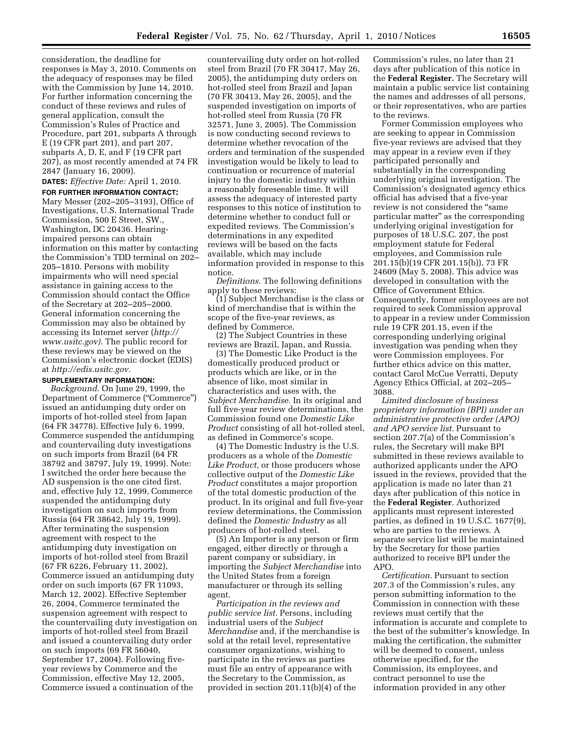consideration, the deadline for responses is May 3, 2010. Comments on the adequacy of responses may be filed with the Commission by June 14, 2010. For further information concerning the conduct of these reviews and rules of general application, consult the Commission's Rules of Practice and Procedure, part 201, subparts A through E (19 CFR part 201), and part 207, subparts A, D, E, and F (19 CFR part 207), as most recently amended at 74 FR 2847 (January 16, 2009).

**DATES:** *Effective Date:* April 1, 2010. **FOR FURTHER INFORMATION CONTACT:**  Mary Messer (202–205–3193), Office of Investigations, U.S. International Trade Commission, 500 E Street, SW., Washington, DC 20436. Hearingimpaired persons can obtain

information on this matter by contacting the Commission's TDD terminal on 202– 205–1810. Persons with mobility impairments who will need special assistance in gaining access to the Commission should contact the Office of the Secretary at 202–205–2000. General information concerning the Commission may also be obtained by accessing its Internet server (*http:// www.usitc.gov).* The public record for these reviews may be viewed on the Commission's electronic docket (EDIS) at *http://edis.usitc.gov.* 

# **SUPPLEMENTARY INFORMATION:**

*Background.* On June 29, 1999, the Department of Commerce (''Commerce'') issued an antidumping duty order on imports of hot-rolled steel from Japan (64 FR 34778). Effective July 6, 1999, Commerce suspended the antidumping and countervailing duty investigations on such imports from Brazil (64 FR 38792 and 38797, July 19, 1999). Note: I switched the order here because the AD suspension is the one cited first. and, effective July 12, 1999, Commerce suspended the antidumping duty investigation on such imports from Russia (64 FR 38642, July 19, 1999). After terminating the suspension agreement with respect to the antidumping duty investigation on imports of hot-rolled steel from Brazil (67 FR 6226, February 11, 2002), Commerce issued an antidumping duty order on such imports (67 FR 11093, March 12, 2002). Effective September 26, 2004, Commerce terminated the suspension agreement with respect to the countervailing duty investigation on imports of hot-rolled steel from Brazil and issued a countervailing duty order on such imports (69 FR 56040, September 17, 2004). Following fiveyear reviews by Commerce and the Commission, effective May 12, 2005, Commerce issued a continuation of the

countervailing duty order on hot-rolled steel from Brazil (70 FR 30417, May 26, 2005), the antidumping duty orders on hot-rolled steel from Brazil and Japan (70 FR 30413, May 26, 2005), and the suspended investigation on imports of hot-rolled steel from Russia (70 FR 32571, June 3, 2005). The Commission is now conducting second reviews to determine whether revocation of the orders and termination of the suspended investigation would be likely to lead to continuation or recurrence of material injury to the domestic industry within a reasonably foreseeable time. It will assess the adequacy of interested party responses to this notice of institution to determine whether to conduct full or expedited reviews. The Commission's determinations in any expedited reviews will be based on the facts available, which may include information provided in response to this notice.

*Definitions.* The following definitions apply to these reviews:

(1) Subject Merchandise is the class or kind of merchandise that is within the scope of the five-year reviews, as defined by Commerce.

(2) The Subject Countries in these reviews are Brazil, Japan, and Russia.

(3) The Domestic Like Product is the domestically produced product or products which are like, or in the absence of like, most similar in characteristics and uses with, the *Subject Merchandise.* In its original and full five-year review determinations, the Commission found one *Domestic Like Product* consisting of all hot-rolled steel, as defined in Commerce's scope.

(4) The Domestic Industry is the U.S. producers as a whole of the *Domestic Like Product,* or those producers whose collective output of the *Domestic Like Product* constitutes a major proportion of the total domestic production of the product. In its original and full five-year review determinations, the Commission defined the *Domestic Industry* as all producers of hot-rolled steel.

(5) An Importer is any person or firm engaged, either directly or through a parent company or subsidiary, in importing the *Subject Merchandise* into the United States from a foreign manufacturer or through its selling agent.

*Participation in the reviews and public service list.* Persons, including industrial users of the *Subject Merchandise* and, if the merchandise is sold at the retail level, representative consumer organizations, wishing to participate in the reviews as parties must file an entry of appearance with the Secretary to the Commission, as provided in section 201.11(b)(4) of the

Commission's rules, no later than 21 days after publication of this notice in the **Federal Register.** The Secretary will maintain a public service list containing the names and addresses of all persons, or their representatives, who are parties to the reviews.

Former Commission employees who are seeking to appear in Commission five-year reviews are advised that they may appear in a review even if they participated personally and substantially in the corresponding underlying original investigation. The Commission's designated agency ethics official has advised that a five-year review is not considered the "same" particular matter'' as the corresponding underlying original investigation for purposes of 18 U.S.C. 207, the post employment statute for Federal employees, and Commission rule 201.15(b)(19 CFR 201.15(b)), 73 FR 24609 (May 5, 2008). This advice was developed in consultation with the Office of Government Ethics. Consequently, former employees are not required to seek Commission approval to appear in a review under Commission rule 19 CFR 201.15, even if the corresponding underlying original investigation was pending when they were Commission employees. For further ethics advice on this matter, contact Carol McCue Verratti, Deputy Agency Ethics Official, at 202–205– 3088.

*Limited disclosure of business proprietary information (BPI) under an administrative protective order (APO) and APO service list.* Pursuant to section 207.7(a) of the Commission's rules, the Secretary will make BPI submitted in these reviews available to authorized applicants under the APO issued in the reviews, provided that the application is made no later than 21 days after publication of this notice in the **Federal Register**. Authorized applicants must represent interested parties, as defined in 19 U.S.C. 1677(9), who are parties to the reviews. A separate service list will be maintained by the Secretary for those parties authorized to receive BPI under the APO.

*Certification.* Pursuant to section 207.3 of the Commission's rules, any person submitting information to the Commission in connection with these reviews must certify that the information is accurate and complete to the best of the submitter's knowledge. In making the certification, the submitter will be deemed to consent, unless otherwise specified, for the Commission, its employees, and contract personnel to use the information provided in any other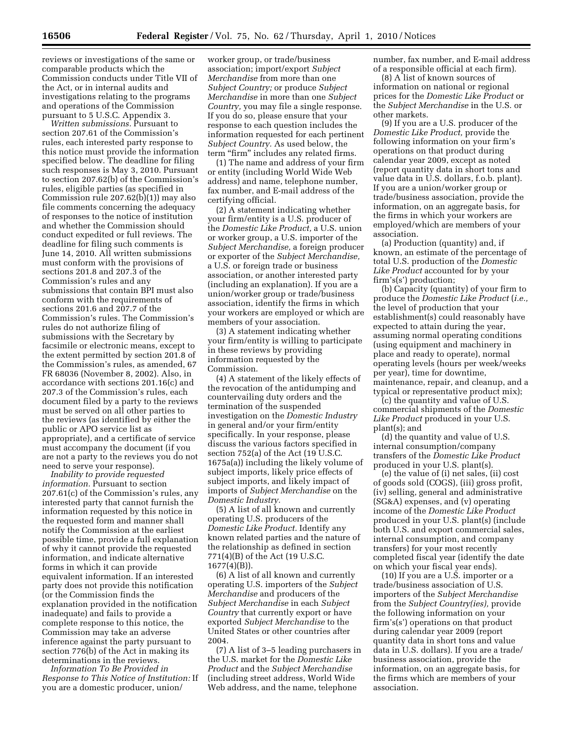reviews or investigations of the same or comparable products which the Commission conducts under Title VII of the Act, or in internal audits and investigations relating to the programs and operations of the Commission pursuant to 5 U.S.C. Appendix 3.

*Written submissions.* Pursuant to section 207.61 of the Commission's rules, each interested party response to this notice must provide the information specified below. The deadline for filing such responses is May 3, 2010. Pursuant to section 207.62(b) of the Commission's rules, eligible parties (as specified in Commission rule 207.62(b)(1)) may also file comments concerning the adequacy of responses to the notice of institution and whether the Commission should conduct expedited or full reviews. The deadline for filing such comments is June 14, 2010. All written submissions must conform with the provisions of sections 201.8 and 207.3 of the Commission's rules and any submissions that contain BPI must also conform with the requirements of sections 201.6 and 207.7 of the Commission's rules. The Commission's rules do not authorize filing of submissions with the Secretary by facsimile or electronic means, except to the extent permitted by section 201.8 of the Commission's rules, as amended, 67 FR 68036 (November 8, 2002). Also, in accordance with sections 201.16(c) and 207.3 of the Commission's rules, each document filed by a party to the reviews must be served on all other parties to the reviews (as identified by either the public or APO service list as appropriate), and a certificate of service must accompany the document (if you are not a party to the reviews you do not need to serve your response).

*Inability to provide requested information.* Pursuant to section 207.61(c) of the Commission's rules, any interested party that cannot furnish the information requested by this notice in the requested form and manner shall notify the Commission at the earliest possible time, provide a full explanation of why it cannot provide the requested information, and indicate alternative forms in which it can provide equivalent information. If an interested party does not provide this notification (or the Commission finds the explanation provided in the notification inadequate) and fails to provide a complete response to this notice, the Commission may take an adverse inference against the party pursuant to section 776(b) of the Act in making its determinations in the reviews.

*Information To Be Provided in Response to This Notice of Institution:* If you are a domestic producer, union/

worker group, or trade/business association; import/export *Subject Merchandise* from more than one *Subject Country;* or produce *Subject Merchandise* in more than one *Subject Country,* you may file a single response. If you do so, please ensure that your response to each question includes the information requested for each pertinent *Subject Country.* As used below, the term "firm" includes any related firms.

(1) The name and address of your firm or entity (including World Wide Web address) and name, telephone number, fax number, and E-mail address of the certifying official.

(2) A statement indicating whether your firm/entity is a U.S. producer of the *Domestic Like Product,* a U.S. union or worker group, a U.S. importer of the *Subject Merchandise,* a foreign producer or exporter of the *Subject Merchandise,*  a U.S. or foreign trade or business association, or another interested party (including an explanation). If you are a union/worker group or trade/business association, identify the firms in which your workers are employed or which are members of your association.

(3) A statement indicating whether your firm/entity is willing to participate in these reviews by providing information requested by the Commission.

(4) A statement of the likely effects of the revocation of the antidumping and countervailing duty orders and the termination of the suspended investigation on the *Domestic Industry*  in general and/or your firm/entity specifically. In your response, please discuss the various factors specified in section 752(a) of the Act (19 U.S.C. 1675a(a)) including the likely volume of subject imports, likely price effects of subject imports, and likely impact of imports of *Subject Merchandise* on the *Domestic Industry.* 

(5) A list of all known and currently operating U.S. producers of the *Domestic Like Product.* Identify any known related parties and the nature of the relationship as defined in section 771(4)(B) of the Act (19 U.S.C. 1677(4)(B)).

(6) A list of all known and currently operating U.S. importers of the *Subject Merchandise* and producers of the *Subject Merchandise* in each *Subject Country* that currently export or have exported *Subject Merchandise* to the United States or other countries after 2004.

(7) A list of 3–5 leading purchasers in the U.S. market for the *Domestic Like Product* and the *Subject Merchandise*  (including street address, World Wide Web address, and the name, telephone

number, fax number, and E-mail address of a responsible official at each firm).

(8) A list of known sources of information on national or regional prices for the *Domestic Like Product* or the *Subject Merchandise* in the U.S. or other markets.

(9) If you are a U.S. producer of the *Domestic Like Product,* provide the following information on your firm's operations on that product during calendar year 2009, except as noted (report quantity data in short tons and value data in U.S. dollars, f.o.b. plant). If you are a union/worker group or trade/business association, provide the information, on an aggregate basis, for the firms in which your workers are employed/which are members of your association.

(a) Production (quantity) and, if known, an estimate of the percentage of total U.S. production of the *Domestic Like Product* accounted for by your firm's(s') production;

(b) Capacity (quantity) of your firm to produce the *Domestic Like Product* (*i.e.,*  the level of production that your establishment(s) could reasonably have expected to attain during the year, assuming normal operating conditions (using equipment and machinery in place and ready to operate), normal operating levels (hours per week/weeks per year), time for downtime, maintenance, repair, and cleanup, and a typical or representative product mix);

(c) the quantity and value of U.S. commercial shipments of the *Domestic Like Product* produced in your U.S. plant(s); and

(d) the quantity and value of U.S. internal consumption/company transfers of the *Domestic Like Product*  produced in your U.S. plant(s).

(e) the value of (i) net sales, (ii) cost of goods sold (COGS), (iii) gross profit, (iv) selling, general and administrative (SG&A) expenses, and (v) operating income of the *Domestic Like Product*  produced in your U.S. plant(s) (include both U.S. and export commercial sales, internal consumption, and company transfers) for your most recently completed fiscal year (identify the date on which your fiscal year ends).

(10) If you are a U.S. importer or a trade/business association of U.S. importers of the *Subject Merchandise*  from the *Subject Country(ies),* provide the following information on your firm's(s') operations on that product during calendar year 2009 (report quantity data in short tons and value data in U.S. dollars). If you are a trade/ business association, provide the information, on an aggregate basis, for the firms which are members of your association.